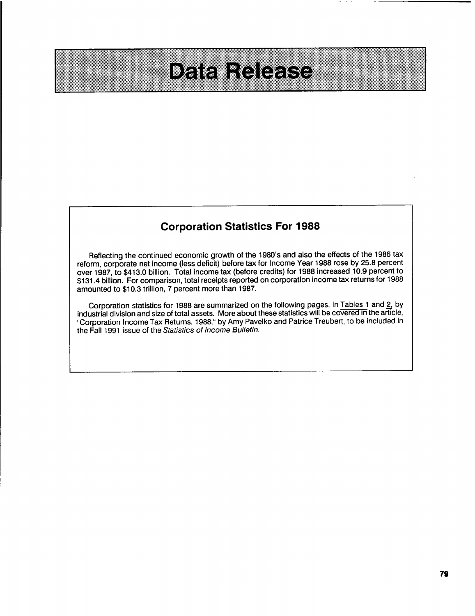## DATAHOICASS

## Corporation Statistics For **1988**

Reflecting the continued economic growth of the 1980's and also the effects of the **1986** tax reform, corporate net income (less deficit) before tax for Income Year **1988** rose **by 25.8** percent over **1987,** to \$413.0 billion. Total income tax (before credits) for **1988** increased **10.9** percent to \$131.4 billion. For comparison, total receipts reported on corporation income tax returns for **1988** amounted to **\$10.3** trillion, **7** percent more than **1987.**

Corporation statistics for **1988** are summarized on the following pages, in [Tables](#page-1-0) **<sup>1</sup>** and [2,](#page-3-0) **by** industrial division and size of total assets. More about these statistics will be covered in the article, "Corporation Income Tax Returns, **1988," by** Amy Pavelko and Patrice Treubert, to be included in the Fall **1991** issue of the Statistics of Income Bulletin.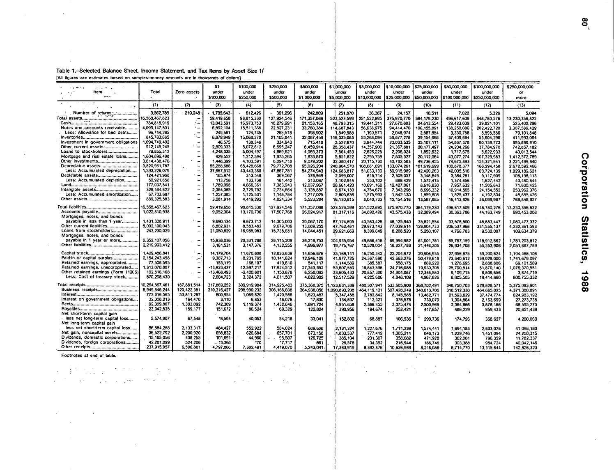## <span id="page-1-0"></span>Table 1.-Selected Balance Sheet, Income Statement, and Tax Items by Asset Size 1/ [All figures are estimates based on samples-money amounts are in thousands of dollars]

| $-1$ <b>West</b><br>$2.12 \times 10^{-12}$ |                |                                         | 51.          | \$100,000   | \$250,000   | \$500,000          | \$1,000,000   | \$5,000,000  | \$10,000,000   | \$25,000,000  | \$50,000,000  | \$100,000,000 | \$250,000,000    |
|--------------------------------------------|----------------|-----------------------------------------|--------------|-------------|-------------|--------------------|---------------|--------------|----------------|---------------|---------------|---------------|------------------|
| ltem                                       | Total          | Zero assets                             | under        | under       | under       | under              | under         | under        | under          | under         | under         | under         | or               |
| $\cdots$                                   |                |                                         | \$100,000    | \$250,000   | \$500,000   | \$1,000,000        | \$5,000,000   | \$10,000,000 | 1 \$25,000,000 | \$50,000,000  | \$100,000,000 | \$250,000,000 | more             |
|                                            | (1)            | (2)                                     | (3)          | (4)         | (5)         | (6)                | $\sigma$      | (6)          | (9)            | (10)          | (11)          | (12)          | (13)             |
|                                            | 3,562,789      | 210.248                                 | 1.795.643    | 612.426     | 361.296     | 242,809            | 251,870       | 36,387       | 24,157         | 10.511        | 7.022         | 5.326         | 5.094            |
| <b>All Mont</b>                            | 16.568.467.823 |                                         | 59,419,658   | 98.815,330  | 127,924,546 | 171,357,088        | 523.523.599   | 251.522.895  | 375.970,770    | 384.179.230   | 496.617.609   | 848,780,276   | 13.230.356.822   |
|                                            | 784.815.919    | ۰.                                      | 13.043.591   | 16.973.753  | 18.279.991  | 21.153.165         | 48,793,315    | 19.441.311   | 27,870,803     | 24,613,554    | 29.423.039    | 39,821,101    | 525.402.296      |
| Notes and accounts receivable              | 4,099,147,501  | $\ddot{ }$                              | 6,892.104    | 15,511,368  | 22,827,231  | 33,760,384         | 114,687,843   | 56,638,975   | 94,414,470     | 106.155.891   | 138,250,086   | 202,422,720   | 3.307.586.429    |
| Less: Allowance for bad debts              | 96,744,285     | ۰                                       | 249,581      | 124.735     | 265.518     | 398.902            | 1.849.988     | 1.190.571    | 2.048.974      | 2.587.854     | 3.330.758     | 5.595.556     | 79.101.848       |
|                                            | 845,783,685    |                                         | 6,879,949    | 15,068,270  | 21.105.841  | 32,087,456         | 116,335,083   | 53,268,094   | 58.877.278     | 39,154,668    | 37,409,684    | 53.604.296    | 411,993.064      |
| Investment in government obligations       | 1.094.749.402  |                                         | 46.575       | 138,346     | 334.943     | 715,418            | 3,522,670     | 3,944,744    | 20.033,535     | 35,107,111    | 54,867,378    | 80,139,773    | 895,898.910      |
|                                            | 912.145.245    |                                         | 2,809,333    | 5,072,612   | 6,695,247   | 8.459.914          | 28,358,437    | 14.357,906   | 21.367.881     | 20,177,497    | 24, 204, 266  | 37,784,970    | 742,857.182      |
| Loans to stockholders                      | 79,855,312     |                                         | 4,248,335    | 5.004.497   | 4,889,621   | 4.069.373          | 7.564.453     | 2.626.225    | 2.206.024      | 1,892,632     | 1.717.675     | 5,622,933     | 40.013.544       |
| Mortgage and real estate loans             | 1,504,896,498  | -                                       | 429.552      | 1,212,594   | 1,875,265   | 1,833,870          | 5.851.822     | 2.795.759    | 7,805,527      | 20,112,064    | 43,077,274    | 107.329.983   | 1,412,572.789    |
|                                            | 3,614.438,470  | $\overline{\phantom{a}}$                | 1,448,399    | 4,103,591   | 6,294,718   | 9,079,202          | 32,380,417    | 20,115,730   | 40,782,583     | 49,736,455    | 74,675,893    | 154,321.641   | 3.221.499.840    |
| Depreciable assets                         | 3,820,961,787  |                                         | 55,288,686   | 65,428,668  | 79,772,708  | 95,026,204         | 240,904,570   | 108,081,691  | 133,074,261    | 101,619,699   | 102,878,377   | 166,294,458   | 2,672,592,466    |
| Less: Accumulated depreciation             | 1,593,226,079  | zh a<br>π.                              | 37,667,512   | 40,443,360  | 47.867.781  | 54,274,943         | 124, 683, 817 | 51,033,139   | 59.915.989     | 42.420.263    | 42,005.516    | 63,724,139    | 1,029,189,621    |
| Depletable assets                          | 124.421.968    | $\overline{\phantom{a}}$                | 165.974      | 313.548     | 369,567     | 578,949            | 2.099.007     | 818,714      | 2,309,057      | 3,148,849     | 3,364.281     | 5,117,909     | 106, 136, 113    |
| Less: Accumulated depletion                | 50,921,656     |                                         | 113,758      | 133,738     | 181.442     | 213,087            | 1,102,944     | 253,102      | 888.429        | 1,572,415     | 1,374,656     | 1.627.442     | 43.460.644       |
|                                            | 177,037,541    | ÷                                       | 1,789,098    | 4,666,361   | 7,383,943   | 12,037,967         | 28.661,420    | 10,691,160   | 12.427.061     | 8,616.830     | 7.957.632     | 11.205.643    | 71.500.425       |
|                                            | 329,484,622    | $\overline{\phantom{0}}$                | 2.384.385    | 2.729.792   | 2,734,664   | 3,135,857          | 8,674,130     | 4,754,670    | 7,343,298      | 8,696,332     | 10,914,565    | 24, 154, 552  | 253.962,376      |
| Less: Accumulated amortization             | 67,703,687     |                                         | 1.257.385    | 1,125,531   | 1,148,784   | 1.217.025          | 2.803.636     | 1,575,993    | 1,842,130      | 1,859,808     | 1,825.437     | 4,192,534     | 48 855,426       |
|                                            | 889,325,583    | -                                       | 3,281,914    | 4,419,292   | 4,824,334   | 5,523,284          | 16, 130, 815  | 8,040,723    | 12, 154, 516   | 13,587,985    | 16,413,826    | 36,099,967    | 768,848,927      |
|                                            |                |                                         |              |             |             |                    |               |              |                |               |               |               |                  |
|                                            | 16,568,467,823 |                                         | 59.419.658   | 98,815,330  | 127.924.546 | 171,357,066        | 523,523,599   | 251,522,895  | 375,970,770    | 384, 179, 230 | 496.617.609   | 848.780.276   | 13,230,356,822   |
| Accounts payable                           | 1,022,810,938  | $\overline{\phantom{0}}$                | 9,052,304    | 13,170,736  | 17,507,768  | 26,024,917         | 81,317,116    | 34,892.426   | 43,575,433     | 32,289,494    | 30,363,786    | 44, 163, 749  | 690.453.208      |
| Mortgages, notes, and bonds                |                |                                         |              |             |             |                    |               |              |                |               |               |               |                  |
| payable in less than 1 year                | 1.431.308 911  | ت - ا                                   | 9.690.134    | 9.673.712   | 14.305.003  | 20,067,170         | 87.124.695    | 43,563,426   | 48,125,940     | 35,821,554    | 33,576,500    | 48.883.447    | 1,080,477,332    |
|                                            | 5,092,190,043  | ۰.                                      | 6,802,931    | 8,583,482   | 9,679,706   | 13,089,255         | 47,762,481    | 29,973,143   | 77,039,614     | 128,804.733   | 206,537,968   | 331,555,137   | 4 232,361,593    |
| Loans from stockholders                    | 243,230,029    |                                         | 21.050.829   | 16,985,983  | 15,735,651  | 14,044,451         | 29.621.669    | 8.399.649    | 8.208.520      | 5.250.107     | 4.766.783     | 9,532,007     | 109,634,379      |
| Mortgages, notes, and bonds                |                |                                         |              |             |             |                    |               |              |                |               |               |               |                  |
| payable in 1 year or more                  | 2.352.107.056  | $\qquad \qquad \blacksquare$            | 15.938.036   | 20,331,288  | 28,115,209  | 36, 219, 753       | 104.935.954   | 49,686,418   | 69,994,982     | 61,001,781    | 65.767.159    | 118.912.662   | 1,781,203,812    |
|                                            | 2.219.993.412  |                                         | 3,161,531    | 3,147,376   | 4,132,255   | 4,996,977          | 19,775,767    | 10,529,004   | 18,827,793     | 21,446,305    | 26,934,708    | 55,353,906    | 2,051,687,789    |
|                                            | 1.429.486.841  |                                         | 14, 179, 704 | 11,670,808  | 12.823.639  | 14,656,876         | 35, 168, 141  | 16,250,342   | 22,204,972     | 20,906.955    | 27,956,675    | 59,200.624    | 1, 194, 468, 106 |
| Paid-in or capital surplus                 | 2.154.243.458  | ÷,                                      | 9,387,713    | 8,231,795   | 10,141,824  | 12,946,109         | 41.977.725    | 24.367.690   | 42,663,276     | 50,479,618    | 73,340,612    | 139,028,000   | 1,741,679,097    |
| Retained earnings, appropriated            | 77,508,595     |                                         | 153.119      | .168.107    | 419.610     | 541,117            | 1.144.589     | 385,587      | 558.175        | 869.222       | 1,278,695     | 2,888,806     | 69,101,569       |
| Retained earnings, unappropriated          | 1.313,070.807  |                                         | -13.923.427  | 12,597.217  | 17,924,512  | 27.343.352         | 53,607,559    | 16.843.596   | 24.716.088     | 19,930,705    | 25,790,514    | 51,870,140    | 1,076,370,551    |
| Other retained earnings (Form 1120S)       | 102,816,168    | $\bullet\hspace{-4pt}\bullet$<br>$\sim$ | -13,468,493  | -2,420,801  | 1,150,878   | 6,250,092          | 33,605.433    | 20.857,300   | 24,904,087     | 12,346,583    | 9.109.715     | 6,806,656     | 3.674.719        |
| Less: Cost of treasury stock               | 870,298,430    | -                                       | 2,604,723    | 3,324,372   | 4,011,507   | 4,822,982          | 12,517,529    | 4 225,686    | 4,846,109      | 4,967,826     | 8,805,505     | 19,414,860    | 800,755,332      |
|                                            | 10,264,867,461 | 187,881,514                             | 317,869,252  | 309.919.984 | 314,925,483 | 375,360,375        | 123,631,339   | 480,307,941  | 533,605,908    | 368,702,491   | 348.750.703   | 528.828.571   | 5.375.083.901    |
| Business receipts                          | 8.949.846.244  | 120,422,381                             | 310.316.427  | 298.990.232 | 306.166.608 | 364,938,056        | 1,090,893,208 | 464.119.131  | 507,428,249    | 340,013,706   | 310,512,330   | 464 665 025   | 4,371,380,891    |
|                                            | 772.316.565    | 53.811.267                              | 600,954      | 1,069.820   | 1,420.586   | 1,623,487          | 5,347,458     | 2,782,842    | 8,145,585      | 13,462.771    |               |               |                  |
| Interest on government obligations         | 32,308,213     | 164,470                                 | 3.110        | 6.853       | 18.076      | 17.830             | 134,897       | 112,321      | 376.578        | 730.079       | 21,593,829    | 37,474,774    | 624,983,192      |
|                                            | 92,309,807     | 1,393,092                               | 742,309      | 1,119,374   | 1,432,646   | 1,891,724          | 1.951.658     | 2.366.455    | 3,075,474      |               | 1.304.564     | 2.163.699     | 27, 273, 735     |
|                                            | 23,942,535     | 159,177                                 | 151,672      | 86.524      | 69,329      |                    |               |              |                | 2,500,969     | 2,364,666     | 3,876,166     | 66,595,273       |
| Net short-term capital gain                |                |                                         |              |             |             | 122,824            | 390.956       | 194,674      | 252,421        | 417.857       | 466.229       | 959.433       | 20,651,439       |
| less net long-term capital loss            | 5.574,907      | 67,548                                  | "8.594       | 40.053      |             | 33.041             |               |              |                |               |               |               |                  |
| Net long-term capital gain                 |                |                                         |              |             | 54,218      |                    | 152,802       | 68,887       | 106,536        | 299.736       | 174,796       | 368,627       | 4,200,069        |
| less net short-term capital loss           | 56,684,288     | 2,133,317                               | 484.427      | 552.922     | 584.024     |                    |               |              |                |               |               |               |                  |
| Net gain, noncapital assets                | 36,522,792     | 2,200,920                               | 658,832      | 626.684     | 657.701     | 689,628<br>673.158 | 2,131,224     | 1,227.676    | 1,711,239      | 1,574,441     | 1,694,183     | 2.803.026     | 41,098,180       |
| Dividends, domestic corporations           | 15,165,056     | 408,255                                 | 101,691      | 44,960      | 95,507      |                    | 1.833.537     | 777,419      | 1,305,211      | 848.173       | 1.239.746     | 1.451.094     | 24.250.315       |
| Dividends, foreign corporations            | 42,281,099     | 524,206                                 | . . 3.366    | -70         |             | 126,725            | 385.104       | 231,307      | 358,682        | 471,928       | 362.201       | 796.359       | 11,782,337       |
|                                            | 237,915,957    |                                         | 4,797,866    |             | -7,717      | 861                | 26,576        | 34,352       | 216,944        | 166,746       | 303,388       | 954.724       | 40,042,146       |
|                                            |                | 6,596,881                               |              | 7,382,491   | 4,419,070   | 5,243,041          | 17,383,919    | 8,392,876    | 10.626.989     | 8,216,086     | 8,714,770     | 13 315 644    | 142,826,323      |

 $\mathcal{F}^{\mathcal{F}}$  .

 $\Delta$ 

 $\ddot{\phantom{a}}$ 

 $\sim$   $\sim$ 

 $\sim$  $\sim$ 

 $\mathbb{R}^2$ 

 $\langle \cdot \rangle$ 

 $\sim$ 

Footnotes at end of table.

 $\label{eq:2.1} \frac{1}{4} \left( \frac{1}{2} \left( \frac{1}{2} \right) \left( \frac{1}{2} \left( \frac{1}{2} \right) \right) \right) \left( \frac{1}{2} \left( \frac{1}{2} \right) \right) \left( \frac{1}{2} \left( \frac{1}{2} \right) \right) \left( \frac{1}{2} \left( \frac{1}{2} \right) \right) \left( \frac{1}{2} \right) \left( \frac{1}{2} \right) \left( \frac{1}{2} \right) \left( \frac{1}{2} \right) \left( \frac{1}{2} \right) \left( \frac{1}{2$ 

 $\sim 10^{-7}$ 

 $\mathcal{L}^{\text{max}}$ 

 $\sim$ 

 $\mathcal{L}^{\text{max}}_{\text{max}}$ 

**Service** State State

Corporation Statistics, 1988

 $\mathbf{g}_i$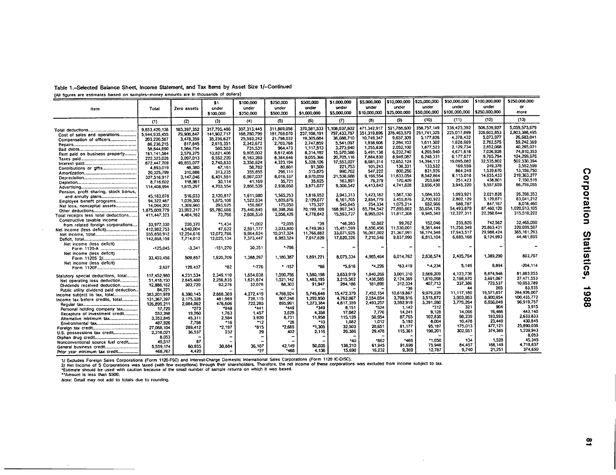| Table 1.-Selected Balance Sheet, Income Statement, and Tax Items by Asset Size 1/-Continued |  |  |  |
|---------------------------------------------------------------------------------------------|--|--|--|
|---------------------------------------------------------------------------------------------|--|--|--|

rAII figures are estimates based on samples-money amounts are In thousands **of** dollars]

|                                                                     |               |             | \$1         | \$100,000     | \$250,000   | \$500,000    | \$1,000,000 | \$5,000,000  | \$10,000,000          | \$25,000,000         | \$50,000,000  | \$100,000,000            | \$250,000,000 |
|---------------------------------------------------------------------|---------------|-------------|-------------|---------------|-------------|--------------|-------------|--------------|-----------------------|----------------------|---------------|--------------------------|---------------|
|                                                                     | Total         | Zero assets | under       | under         | under       | under        | under       | under        | under                 | under                | under         | under                    | or            |
| Item                                                                |               |             | \$100,000   | \$250,000     | \$500,000   | \$1,000,000  | \$5,000,000 | \$10,000,000 | \$25,000,000          | \$50,000,000         | \$100,000,000 | \$250,000,000            | more          |
|                                                                     | (1)           | (2)         | (3)         | (4)           | (5)         | (6)          | $\sigma$    | (8)          | (9)                   | (10)                 | (11)          | (12)                     | (13)          |
|                                                                     |               |             |             |               |             | 370,581,533  | 108.037.602 | 471,342.917  | 521,788,600           | 358,757,149          | 336,423,392   | 506.539.927              | 5.059.573.679 |
|                                                                     | 9,853,420,138 | 183.397.352 | 317.795.486 | 307, 313, 445 | 311,869,056 |              | 797.433.787 | 351,319,896  | 378.463,579           | 251,741.325          | 225 017.899   | 328.602.853              | 2.803.388.495 |
| Cost of sales and operations                                        | 5.944.935.455 | 79,906,847  | 141,902,717 | 168,280,796   | 181.769.070 | 237.108.191  | 36.088.710  | 10.749.347   | 9.657.309             | 5.177.826            | 4.378.432     | 5,073,977                | 26.683.041    |
| Compensation of officers                                            | 203.220.587   | 3,478,359   | 35,236.627  | 25.593.242    | 21,798,032  | 19.305,684   |             | 1,938,606    | 2.284,103             | 1,611,302            | 1,628,669     | 2.762,576                | 59.242.369    |
|                                                                     | 86,236,215    | 817,845     | 2.615,351   | 2.342,672     | 2.703.768   | 2,747,859    | 5,541.097   | 1,255,830    | 2,052,100             | 1,877,523            | 2,129,734     | 2,852,068                | 40.265.021    |
|                                                                     | 58,644,690    | 1.564.754   | 560,503     | 731.531       | 964,473     | 1,117,513    | 3.273,640   | 5.491.138    | 6.232.740             | 4,205,940            | 4,671,616     | 7,026,928                | 74,810,353    |
| Rent paid on business property                                      | 161.141.584   | 2,579,275   | 13,821,406  | 9.805.002     | 8612,408    | 8.314.192    | 15,570,586  |              | 8.949.087             | 6.248.331            | 6,177,677     | 9.785.794                | 124.299.676   |
|                                                                     | 222,323,028   | 3,097,013   | 9.552.220   | 8.183.269     | 8.384.648   | 9,055,366    | 20.705.116  | 7.884.830    |                       | 14.394.112           | 19.095.082    | 32.535.802               | 502.530.394   |
|                                                                     | 672,447,709   | 49.855.077  | 2.740.833   | 3,358,624     | 4,323,194   | 5.328.126    | 17,553,027  | 8,081,314    | 12,652,124<br>138.331 | 133.532              | 169,559       | 249.378                  | 3.552.599     |
| Contributions or gifts                                              | 4 893,019     | 48.380      | 47,161      | 58,782        | 80,801      | 91,500       | 221,753     | 101,243      | 800,256               | 831.926              | 864.249       | 1,539,670                | 13.159.750    |
|                                                                     | 20.325.799    | 310,888     | 313,235     | 355.855       | 296.111     | 315,875      | 990,762     | 547,222      |                       | 8,542.864            | 9,115,018     | 14.655.433               | 219.363.277   |
|                                                                     | 327.516.917   | 3,147,046   | 6,401,551   | 6,967,037     | 8.016.337   | 8,970,059    | 21,538,688  | 9.166.554    | 11,633,054<br>170.409 | 203,690              | 251.423       | 438,801                  | 7,150.519     |
|                                                                     | 8.716.602     | 118,961     | 30,114      | 41,169        | 35,721      | 35.625       | 163,891     | 76,279       |                       |                      | 3,945,320     | 5,557,659                | 66,759.055    |
|                                                                     | 114,408,994   | 1,615,297   | 4.703.554   | 2,860,539     | 2.936.050   | 3,871,077    | 9,308,542   | 4,413,842    | 4,741,628             | 3,696.430            |               |                          |               |
| Pension, profit sharing, stock bonus,                               |               |             |             |               |             |              |             |              | 1.587.130             | 1,084,335            | 1.093,921     | 2.021.828                | 26,398,353    |
| and annuity plans                                                   | 45,183,078    | 516.033     | 2,120,817   | 1,611,980     | 1,565,253   | 1,816,952    | 3.943.313   | 1,423,162    |                       |                      | 2.802.129     | 5,129,871                | 63,041.212    |
| Employee benefit programs                                           | 94,322,487    | 1.039,300   | 1,675,108   | 1,522.634     | 1,809,876   | 2,129,077    | 6,161,705   | 2.854.779    | 3.455.876             | 2,700,922<br>652,966 | 586,787       | 847.167                  | 8.016.460     |
| Net loss, noncapital assets                                         | 14.094.202    | 1,309,960   | 293.625     | 159,667       | 175,050     | 175.327      | 545.645     | 254.334      | 1,075,214             |                      | 54.493.878    | 87,460,120               | 1.020.913.105 |
|                                                                     | 1.875.009.779 | 33.992.317  | 95,780,666  | 75.440.645    | 68,398,266  | 70,199,109   | 168.997.343 | 65.784,542   | 77,895,662            | 55.654.126           |               | 22,288,544               | 315,510,222   |
| Total receipts less total deductions                                | 411,447,323   | 4,484,162   | 73,766      | 2 606,559     | 3.056.426   | 4,778,842    | 15,593,737  | 8,965,024    | 11,817,308            | 9.945.342            | 12,327,311    |                          |               |
| Constructive taxable income                                         |               |             |             |               |             |              |             |              |                       |                      | 235,826       | 742.562                  | 32,465,090    |
| from related foreign corporations                                   | 33.977.330    | 220,370     | $-1.434$    | *1,002        | *2.055      | -39          | *46.283     | 10.862       | 99,762                | 152.046              |               |                          | 320.699.597   |
|                                                                     | 412,982,753   | 4,540,004   | 47.632      | 2.591.177     | 3 033 800   | 4,749,263    | 15.451,599  | 6.856.456    | 11,530,001            | 9.361,444            | 11,258,349    | 20.863.431<br>29 988 424 | 365, 161, 293 |
|                                                                     | 555,850,912   | 12.254.616  | 12.072.766  | 9.964.624     | 10,017,324  | 11,766,882   | 33,071,925  | 16,067,002   | 21.367.991            | 16,174,548           | 17.943.517    |                          | 44.461.695    |
|                                                                     | 142,868,159   | 7,714,612   | 12,025,134  | 7,373,447     | 6,983,524   | 7,017,620    | 17,620,326  | 7.210.546    | 9,837,990             | 6,813,104            | 6,685,168     | 9.124,993                |               |
| Net income (less deficit)                                           |               |             |             |               |             |              |             |              |                       |                      |               |                          |               |
| Form 1120-A                                                         | $-125,045$    | $-3.341$    | $-151.270$  | 30,351        | $-786$      |              |             |              |                       |                      |               |                          |               |
| Net income (less deficit)                                           |               |             |             |               |             |              |             |              |                       |                      |               |                          |               |
| Form 1120S 2/                                                       | 33,403,456    | 509.857     | 1,920,709   | 1.388.297     | 1.180.387   | 1,891,221    | 8,075,334   | 4,985,464    | 6,014,762             | 2,838,574            | 2,405,764     | 1,389.290                | 803,797       |
| Net income (less deficit)                                           |               |             |             |               |             |              |             |              |                       |                      |               |                          |               |
|                                                                     | 2.627         | 126,437     | -82         | $-776$        | $-157$      | -86          | $-5,616$    | $-4.226$     | *63.419               | $-4.234$             | 5.149         | 6,894                    | $-204.114$    |
|                                                                     | 117,452,980   | 4.231.534   | 2,349.110   | 1,654,038     | 1,590,756   | 1.580.198    | 3,653,919   | 1,840,269    | 3,001,310             | 2,669,209            | 4.123.736     | 8.874.946                | 81.883.953    |
| Statutory special deductions, total<br>Net operating loss deduction | 51,418,150    | 2,845,400   | 2,256.835   | 1,621,674     | 1,521,142   | 1.483.195    | 3.215.562   | 1.438.585    | 2.124.369             | 1,610,098            | 2.168.670     | 3.661.067                | 27.471.553    |
| Dividends received deduction                                        | 12,888,162    | 302,720     | 92,276      | 32,076        | 68.303      | 91,947       | 284,186     | 181,896      | 312,334               | 407,713              | 337,386       | 723.537                  | 10.053,789    |
| Public utility dividend paid deduction.                             | 84.221        |             |             |               |             |              |             |              | -36                   |                      | 44            | 205                      | 83.935        |
|                                                                     | 383,201.976   | 6.390.145   | 2,888,369   | 4.272,419     | 4,766,924   | 5,745,648    | 15,472,379  | 7,452,154    | 10.619.867            | 9.979.228            | 11,117,180    | 19,571,657               | 284.926.007   |
| income subject to tax, total<br>Income tax before credits, total    | 131,367,397   | 2,175,328   | 481.969     | 726.115       | 907,248     | 1,292,950    | 4,762,067   | 2.554.654    | 3.708.516             | 3,515.872            | 3,903,953     | 6.900.954                | 100.435.772   |
|                                                                     | 126.899,211   | 2.084.062   | 476.606     | 722,285       | 895.991     | 1,273,384    | 4,617,359   | 2.493.257    | 3,592,919             | 3,391,280            | 3,776,264     | 6.656.049                | 96,919,757    |
|                                                                     | 17,729        | -273        | -948        | $-441$        | *449        | -349         | 8.151       | *524         | 1,142                 | *312                 | 321           | 904                      | 3,915         |
| Personal holding company tax                                        | 552,398       | 19.260      | 1,763       | 1.457         | 3.629       | 4,358        | 17,082      | 7,776        | 14.241                | 9.128                | 14.096        | 16.466                   | 443,140       |
| Recapture of investment credit                                      | 3,352,845     | 45.311      | 2.584       | 3.920         | 6,731       | 11.958       | 115.128     | 50,954       | 87,765                | 102,830              | 98.239        | 193,593                  | 2.633.833     |
| Alternative minimum tax                                             | 487,926       | 7,798       | *16         | "12           | *26         | $^{\circ}10$ | 1,082       | 1.012        | 5,192                 | 8.004                | 10.478        | 23,449                   | 430.845       |
| Environmental tax                                                   | 27,068,104    | 289.412     | *2,197      | -815          | *2.665      | "1.305       | 32.503      | 20.651       | 81,177                | 95.187               | 175,013       | 477.121                  | 25.890.036    |
| U.S. possessions tax credit                                         | 2,318,021     | 36.537      | 232         | 29            | 402         | 2.116        | 26.386      | 29,478       | 115,361               | 190,201              | 302,951       | 374,385                  | 1,239,943     |
|                                                                     | 8.053         |             |             |               |             |              |             |              |                       |                      |               |                          | 8.053         |
| Nonconventional source fuel credit                                  | 49.517        | 87          |             |               |             |              | *40         | *862         | *466                  | *1,050               | 134           | 1,528                    | 45,349        |
| General business credit                                             | 5.559.174     | 60.955      | 30.884      | 36,107        | 42,149      | 50,035       | 138,210     | 61,945       | 91,698                | 75.948               | 84.457        | 168.149                  | 4.718,637     |
|                                                                     | 468.767       | 4.420       |             | *27           | *466        | 4.136        | 15.690      | 16,232       | 9.369                 | 12,787               | 9.740         | 21.251                   | 374,650       |
| Prior year minimum tax credit                                       |               |             |             |               |             |              |             |              |                       |                      |               |                          |               |

1/ Excludes Foreign Sales Corporations (Form 1120-FSC) and Interest-Charge Domestic International Sales Corporations (Form 1120 IC-DISC).<br>2/ Net Income of S Corporations was taxed (with few exceptions) through their shareh

Note: Detail may not add to totals due to rounding.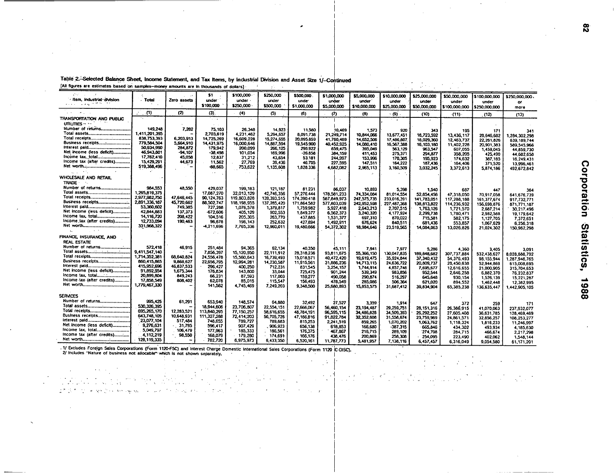| $\mathcal{L}$<br>\$1<br>\$100,000<br>\$250,000<br>\$500,000<br>\$1,000,000<br>\$5,000,000<br>\$10,000,000<br>\$25,000,000<br>\$50,000,000<br>\$100,000,000<br>\$250,000,000<br>· Item, Industrial division<br>Total<br>Zero assets<br>under<br>under<br>under<br>under<br>under<br>under<br>under<br>under<br>under<br>under<br>or.<br>医尿症 化热热<br>\$100,000<br>\$250,000<br>\$500,000<br>\$1,000,000<br>\$5,000,000<br>\$10,000,000<br>\$25,000,000<br>\$50,000,000<br>\$100,000,000<br>5250,000,000<br>more<br>(2)<br>(1)<br>(3)<br>(4)<br>(5)<br>$\sim$ $\sim$<br>in the control<br>(6)<br>$\sigma$<br>(6)<br>. (9) -<br>(10)<br>(11)<br>(12)<br>(13)<br>TRANSPORTATION AND PUBLIC<br>$\sim$ $\sim$ $\sim$<br>$\sim$ $^{\prime\prime}$<br>. .<br>mumes $\sim$<br>'Number of returns<br>149,248<br>7,262<br>75.103<br>26.348<br>14,923<br>11,580<br>10,469<br>1.573<br>920<br>343<br>195<br>171<br>341<br>1,411,201,395<br>2.703.619<br>4,231,462<br>5,294,657<br>8,091,738<br>21,249,714<br>10.844,066<br>13.677.451<br>16,723,592<br>13,436,117<br>28,646,682<br>1.284.302.298<br>838.753.393<br>6.203.913<br>14,725,269<br>16.609.228<br>15,274,655<br>20,095,859<br>41,760,489<br>14.652.506<br>17,486,807<br>18.029.360<br>12,463,737<br>22,261,826<br>639, 189, 744<br>Business receipts<br>779,584,504<br>5,664,910<br>14,431,975<br>16,000,646<br>14,887,594<br>19,545,900<br>40.452.925<br>14,080,410<br>16,567,388<br>16.103.180<br>11,402,228<br>20,901,383<br>589.545.966<br>50,934,990<br>284.872<br>179,942<br>200,099<br>266.125<br>296,922<br>859,475<br>395,049<br>563,129<br>963.547<br>607,055<br>1,459,045<br>44,859,730<br>Net income (less deficit)<br>46,943,801<br>-94.107<br>$-38.496$<br>101.054<br>169,996<br>-26.858<br>384, 159<br>411.453<br>275,371<br>358,205<br>294.877<br>425.490<br>44,682,658<br>17,762,410<br>45,058<br>12,837<br>31.212<br>43,654<br>53.181<br>244,997<br>153,996<br>170,305<br>195,923<br>174,632<br>387,185<br>16,249,431<br>Income tax (after credits)<br>15 429 291<br>44,673<br>11.562<br>27,769<br>39.436<br>46.705<br>227,595<br>147.511<br>164.222<br>187,436<br>164,406<br>371,520<br>13,996,461<br>519,388,496<br>-68,665<br>753,622<br>1,135,608<br>1,828,336<br>4,682,082<br>2,965,113<br>3,160,509<br>3,032,245<br>3,372,613<br>5,874,186<br>492,672,842<br>sa la l<br>WHOLESALE AND RETAIL<br><b>TRADE</b><br>$\ddots$<br>Number of returns<br>984,553<br>48,550<br>429,037<br>199,183<br>121,187<br>81,231<br>86.037<br>10,893<br>5.398<br>1.540<br>687<br>447<br>364<br>1.295.819.375<br>17,087,270<br>32,013,129<br>42.746.356<br>57.276.444<br>178,581,233<br>74,334,084<br>81:014.554<br>52.854,456<br>47.318.050<br>70.917.058<br>641,676,739<br>2,977,982,750<br>47.646.445<br>90,124,763<br>119,803,828<br>139,393,515<br>174.390.418<br>587,849,973<br>247,575,735<br>233,016,391<br>141,783,051<br>117,288,188<br>161,377,674<br>917,732,771<br>Business receipts<br>2,891,336,187<br>45,720,662<br>88,502,747<br>118, 198, 955<br>137,285,420<br>171.864.582<br>577,803,039<br>242,952,598<br>227,487,368<br>138.813.822<br>114.236.932<br>156,698,876<br>871,771,187<br>53,360,602<br>749.385<br>727,258<br>1,076,578<br>1,379,817<br>1,759,982<br>5,927,418<br>2.643.213<br>2,707.515<br>1,763,126<br>1,721,570<br>2,687,214<br>30,217,496<br>Net income (less deficit)<br>42.844.883<br>137.373<br>-672,606<br>405,129<br>902.553<br>1,849,377<br>6,562,373<br>3.240.320<br>4 177,924<br>2,299,738<br>1,780,471<br>2.982.588<br>19,179,642<br>income tax, total<br>14, 116, 720<br>208.422<br>104,516<br>205,305<br>263,770<br>437,885<br>1,531,377<br>697.310<br>870,022<br>715,581<br>582,175<br>1,127,705<br>7,372,651<br>Income tax (after credits)<br>12,733,094<br>190,463<br>96,676<br>196.143<br>252.632<br>427,894<br>1.492.911<br>676,624<br>840.511<br>681,436<br>553,857<br>6,256,318<br>1,067,629<br>331,968,322<br>-4.211.696<br>7,765,336<br>12,960,011<br>19.480.666<br>54,372,302<br>18,984,646<br>23,519,565<br>14,034,063<br>13.026.826<br>21,024,302<br>150,962,298<br>$\mathbf{r}_{\mathbf{a}}$<br>at a<br>FINANCE, INSURANCE, AND<br>REAL ESTATE<br>Number of returns<br>572.418<br>46.915<br>251,484<br>94,365<br>62.134<br>40,350<br>45,111<br>7,941<br>7,977<br>5.286<br>4.360<br>3.405<br>3,091<br>9.411.547.140<br>7,856,397<br>15,120,950<br>22,111,912<br>28,318,236<br>93,811,675<br>55.366.150<br>130,047,835<br>189,848,682<br>307,737,884<br>532,438,627<br>8.028.888.792<br>1.714,352.381<br>68.640.824<br>24,556.478<br>15,560,643<br>16,739,493<br>15,018.571<br>40,472,420<br>19,619,475<br>35.924.844<br>37,340,432<br>54.376.493<br>98, 155, 944<br>1,287,946,765<br>Business recelpts<br>860,415,865<br>9,868,627<br>22.956.795<br>12,994.281<br>14, 230, 587<br>11.915.561<br>31,886,236<br>14,713,115<br>24,636,722<br>20,809,737<br>26,450,638<br>52.944.869<br>615,008,695<br>415,952,696<br>46.837.533<br>296,427<br>400.250<br>712,231<br>831,545<br>3,254,157<br>1,744,914<br>4,857,748<br>7,695,677<br>12.616.655<br>21,000,905<br>315,704,653<br>Net income (less deficit)<br>91,892,954<br>1,675,344<br>176,834<br>143,800<br>33.044<br>725,475<br>901.244<br>539.349<br>983.856<br>952.544<br>2,646,258<br>6,882,370<br>76.232,837<br>20.899.804<br>849.243<br>66.231<br>87,593<br>117,003<br>159,277<br>490.058<br>290,874<br>516,297<br>645,648<br>930.154<br>1,526,139<br>15.221.287<br>Income tax (after credits)<br>17,858,549<br>808,402<br>62.078<br>85.015<br>. 115,547<br>156,493<br>478.549<br>285,086<br>506.364<br>621,020<br>894.552<br>1.462.448<br>12.382.995<br>1,779,467,330<br>141,562<br>4.745,469<br>7,249,203<br>9,348,500<br>25,680,893<br>15,853,575<br>31,687,412<br>39,834,904<br>65,385,238<br>136.635.447<br>1.442.905.105<br><b>SERVICES</b><br>Number of returns<br>995,425<br>61,291<br>653,940<br>148,574<br>64,880<br>32,492<br>27,527<br>3,359<br>1.914<br>647<br>372<br>259<br>171<br>530,326,395<br>18,944,606<br>23,706,807<br>22,554,151<br>22.666.067<br>56,460,154<br>23.194.487<br>29,259,751<br>28, 151, 316<br>26,386,915<br>41,070,063<br>237.932.077<br>695,265,170<br>12,283,521<br>113,840,295<br>77.150.257 |     |  |  |            |            |            |            |            |            |            |            |             |
|--------------------------------------------------------------------------------------------------------------------------------------------------------------------------------------------------------------------------------------------------------------------------------------------------------------------------------------------------------------------------------------------------------------------------------------------------------------------------------------------------------------------------------------------------------------------------------------------------------------------------------------------------------------------------------------------------------------------------------------------------------------------------------------------------------------------------------------------------------------------------------------------------------------------------------------------------------------------------------------------------------------------------------------------------------------------------------------------------------------------------------------------------------------------------------------------------------------------------------------------------------------------------------------------------------------------------------------------------------------------------------------------------------------------------------------------------------------------------------------------------------------------------------------------------------------------------------------------------------------------------------------------------------------------------------------------------------------------------------------------------------------------------------------------------------------------------------------------------------------------------------------------------------------------------------------------------------------------------------------------------------------------------------------------------------------------------------------------------------------------------------------------------------------------------------------------------------------------------------------------------------------------------------------------------------------------------------------------------------------------------------------------------------------------------------------------------------------------------------------------------------------------------------------------------------------------------------------------------------------------------------------------------------------------------------------------------------------------------------------------------------------------------------------------------------------------------------------------------------------------------------------------------------------------------------------------------------------------------------------------------------------------------------------------------------------------------------------------------------------------------------------------------------------------------------------------------------------------------------------------------------------------------------------------------------------------------------------------------------------------------------------------------------------------------------------------------------------------------------------------------------------------------------------------------------------------------------------------------------------------------------------------------------------------------------------------------------------------------------------------------------------------------------------------------------------------------------------------------------------------------------------------------------------------------------------------------------------------------------------------------------------------------------------------------------------------------------------------------------------------------------------------------------------------------------------------------------------------------------------------------------------------------------------------------------------------------------------------------------------------------------------------------------------------------------------------------------------------------------------------------------------------------------------------------------------------------------------------------------------------------------------------------------------------------------------------------------------------------------------------------------------------------------------------------------------------------------------------------------------------------------------------------------------------------------------------------------------------------------------------------------------------------------------------------------------------------------------------------------------------------------------------------------------------------------------------------------------------------------------------------------------------------------------------------------------------------------------------------------------------------------------------------------------------------------------------------------------------------------------------------------------------------------------------------------------------------------------------------------------------------------------------------------------------------------------------------------------------------------------------------------------------------------------------------------------------------------------------------------------------------------------------------------------------------------------------------------------------------------------------------------------------------------------------------------------------------------------------------------------------------------------------------------------------------------------------------|-----|--|--|------------|------------|------------|------------|------------|------------|------------|------------|-------------|
|                                                                                                                                                                                                                                                                                                                                                                                                                                                                                                                                                                                                                                                                                                                                                                                                                                                                                                                                                                                                                                                                                                                                                                                                                                                                                                                                                                                                                                                                                                                                                                                                                                                                                                                                                                                                                                                                                                                                                                                                                                                                                                                                                                                                                                                                                                                                                                                                                                                                                                                                                                                                                                                                                                                                                                                                                                                                                                                                                                                                                                                                                                                                                                                                                                                                                                                                                                                                                                                                                                                                                                                                                                                                                                                                                                                                                                                                                                                                                                                                                                                                                                                                                                                                                                                                                                                                                                                                                                                                                                                                                                                                                                                                                                                                                                                                                                                                                                                                                                                                                                                                                                                                                                                                                                                                                                                                                                                                                                                                                                                                                                                                                                                                                                                                                                                                                                                                                                                                                                                                                                                                                                                                                                                                  | 252 |  |  |            |            |            |            |            |            |            |            |             |
|                                                                                                                                                                                                                                                                                                                                                                                                                                                                                                                                                                                                                                                                                                                                                                                                                                                                                                                                                                                                                                                                                                                                                                                                                                                                                                                                                                                                                                                                                                                                                                                                                                                                                                                                                                                                                                                                                                                                                                                                                                                                                                                                                                                                                                                                                                                                                                                                                                                                                                                                                                                                                                                                                                                                                                                                                                                                                                                                                                                                                                                                                                                                                                                                                                                                                                                                                                                                                                                                                                                                                                                                                                                                                                                                                                                                                                                                                                                                                                                                                                                                                                                                                                                                                                                                                                                                                                                                                                                                                                                                                                                                                                                                                                                                                                                                                                                                                                                                                                                                                                                                                                                                                                                                                                                                                                                                                                                                                                                                                                                                                                                                                                                                                                                                                                                                                                                                                                                                                                                                                                                                                                                                                                                                  |     |  |  |            |            |            |            |            |            |            |            |             |
|                                                                                                                                                                                                                                                                                                                                                                                                                                                                                                                                                                                                                                                                                                                                                                                                                                                                                                                                                                                                                                                                                                                                                                                                                                                                                                                                                                                                                                                                                                                                                                                                                                                                                                                                                                                                                                                                                                                                                                                                                                                                                                                                                                                                                                                                                                                                                                                                                                                                                                                                                                                                                                                                                                                                                                                                                                                                                                                                                                                                                                                                                                                                                                                                                                                                                                                                                                                                                                                                                                                                                                                                                                                                                                                                                                                                                                                                                                                                                                                                                                                                                                                                                                                                                                                                                                                                                                                                                                                                                                                                                                                                                                                                                                                                                                                                                                                                                                                                                                                                                                                                                                                                                                                                                                                                                                                                                                                                                                                                                                                                                                                                                                                                                                                                                                                                                                                                                                                                                                                                                                                                                                                                                                                                  |     |  |  |            |            |            |            |            |            |            |            |             |
|                                                                                                                                                                                                                                                                                                                                                                                                                                                                                                                                                                                                                                                                                                                                                                                                                                                                                                                                                                                                                                                                                                                                                                                                                                                                                                                                                                                                                                                                                                                                                                                                                                                                                                                                                                                                                                                                                                                                                                                                                                                                                                                                                                                                                                                                                                                                                                                                                                                                                                                                                                                                                                                                                                                                                                                                                                                                                                                                                                                                                                                                                                                                                                                                                                                                                                                                                                                                                                                                                                                                                                                                                                                                                                                                                                                                                                                                                                                                                                                                                                                                                                                                                                                                                                                                                                                                                                                                                                                                                                                                                                                                                                                                                                                                                                                                                                                                                                                                                                                                                                                                                                                                                                                                                                                                                                                                                                                                                                                                                                                                                                                                                                                                                                                                                                                                                                                                                                                                                                                                                                                                                                                                                                                                  |     |  |  |            |            |            |            |            |            |            |            |             |
|                                                                                                                                                                                                                                                                                                                                                                                                                                                                                                                                                                                                                                                                                                                                                                                                                                                                                                                                                                                                                                                                                                                                                                                                                                                                                                                                                                                                                                                                                                                                                                                                                                                                                                                                                                                                                                                                                                                                                                                                                                                                                                                                                                                                                                                                                                                                                                                                                                                                                                                                                                                                                                                                                                                                                                                                                                                                                                                                                                                                                                                                                                                                                                                                                                                                                                                                                                                                                                                                                                                                                                                                                                                                                                                                                                                                                                                                                                                                                                                                                                                                                                                                                                                                                                                                                                                                                                                                                                                                                                                                                                                                                                                                                                                                                                                                                                                                                                                                                                                                                                                                                                                                                                                                                                                                                                                                                                                                                                                                                                                                                                                                                                                                                                                                                                                                                                                                                                                                                                                                                                                                                                                                                                                                  |     |  |  |            |            |            |            |            |            |            |            |             |
|                                                                                                                                                                                                                                                                                                                                                                                                                                                                                                                                                                                                                                                                                                                                                                                                                                                                                                                                                                                                                                                                                                                                                                                                                                                                                                                                                                                                                                                                                                                                                                                                                                                                                                                                                                                                                                                                                                                                                                                                                                                                                                                                                                                                                                                                                                                                                                                                                                                                                                                                                                                                                                                                                                                                                                                                                                                                                                                                                                                                                                                                                                                                                                                                                                                                                                                                                                                                                                                                                                                                                                                                                                                                                                                                                                                                                                                                                                                                                                                                                                                                                                                                                                                                                                                                                                                                                                                                                                                                                                                                                                                                                                                                                                                                                                                                                                                                                                                                                                                                                                                                                                                                                                                                                                                                                                                                                                                                                                                                                                                                                                                                                                                                                                                                                                                                                                                                                                                                                                                                                                                                                                                                                                                                  |     |  |  |            |            |            |            |            |            |            |            |             |
|                                                                                                                                                                                                                                                                                                                                                                                                                                                                                                                                                                                                                                                                                                                                                                                                                                                                                                                                                                                                                                                                                                                                                                                                                                                                                                                                                                                                                                                                                                                                                                                                                                                                                                                                                                                                                                                                                                                                                                                                                                                                                                                                                                                                                                                                                                                                                                                                                                                                                                                                                                                                                                                                                                                                                                                                                                                                                                                                                                                                                                                                                                                                                                                                                                                                                                                                                                                                                                                                                                                                                                                                                                                                                                                                                                                                                                                                                                                                                                                                                                                                                                                                                                                                                                                                                                                                                                                                                                                                                                                                                                                                                                                                                                                                                                                                                                                                                                                                                                                                                                                                                                                                                                                                                                                                                                                                                                                                                                                                                                                                                                                                                                                                                                                                                                                                                                                                                                                                                                                                                                                                                                                                                                                                  |     |  |  |            |            |            |            |            |            |            |            |             |
|                                                                                                                                                                                                                                                                                                                                                                                                                                                                                                                                                                                                                                                                                                                                                                                                                                                                                                                                                                                                                                                                                                                                                                                                                                                                                                                                                                                                                                                                                                                                                                                                                                                                                                                                                                                                                                                                                                                                                                                                                                                                                                                                                                                                                                                                                                                                                                                                                                                                                                                                                                                                                                                                                                                                                                                                                                                                                                                                                                                                                                                                                                                                                                                                                                                                                                                                                                                                                                                                                                                                                                                                                                                                                                                                                                                                                                                                                                                                                                                                                                                                                                                                                                                                                                                                                                                                                                                                                                                                                                                                                                                                                                                                                                                                                                                                                                                                                                                                                                                                                                                                                                                                                                                                                                                                                                                                                                                                                                                                                                                                                                                                                                                                                                                                                                                                                                                                                                                                                                                                                                                                                                                                                                                                  |     |  |  |            |            |            |            |            |            |            |            |             |
|                                                                                                                                                                                                                                                                                                                                                                                                                                                                                                                                                                                                                                                                                                                                                                                                                                                                                                                                                                                                                                                                                                                                                                                                                                                                                                                                                                                                                                                                                                                                                                                                                                                                                                                                                                                                                                                                                                                                                                                                                                                                                                                                                                                                                                                                                                                                                                                                                                                                                                                                                                                                                                                                                                                                                                                                                                                                                                                                                                                                                                                                                                                                                                                                                                                                                                                                                                                                                                                                                                                                                                                                                                                                                                                                                                                                                                                                                                                                                                                                                                                                                                                                                                                                                                                                                                                                                                                                                                                                                                                                                                                                                                                                                                                                                                                                                                                                                                                                                                                                                                                                                                                                                                                                                                                                                                                                                                                                                                                                                                                                                                                                                                                                                                                                                                                                                                                                                                                                                                                                                                                                                                                                                                                                  |     |  |  |            |            |            |            |            |            |            |            |             |
|                                                                                                                                                                                                                                                                                                                                                                                                                                                                                                                                                                                                                                                                                                                                                                                                                                                                                                                                                                                                                                                                                                                                                                                                                                                                                                                                                                                                                                                                                                                                                                                                                                                                                                                                                                                                                                                                                                                                                                                                                                                                                                                                                                                                                                                                                                                                                                                                                                                                                                                                                                                                                                                                                                                                                                                                                                                                                                                                                                                                                                                                                                                                                                                                                                                                                                                                                                                                                                                                                                                                                                                                                                                                                                                                                                                                                                                                                                                                                                                                                                                                                                                                                                                                                                                                                                                                                                                                                                                                                                                                                                                                                                                                                                                                                                                                                                                                                                                                                                                                                                                                                                                                                                                                                                                                                                                                                                                                                                                                                                                                                                                                                                                                                                                                                                                                                                                                                                                                                                                                                                                                                                                                                                                                  |     |  |  |            |            |            |            |            |            |            |            |             |
|                                                                                                                                                                                                                                                                                                                                                                                                                                                                                                                                                                                                                                                                                                                                                                                                                                                                                                                                                                                                                                                                                                                                                                                                                                                                                                                                                                                                                                                                                                                                                                                                                                                                                                                                                                                                                                                                                                                                                                                                                                                                                                                                                                                                                                                                                                                                                                                                                                                                                                                                                                                                                                                                                                                                                                                                                                                                                                                                                                                                                                                                                                                                                                                                                                                                                                                                                                                                                                                                                                                                                                                                                                                                                                                                                                                                                                                                                                                                                                                                                                                                                                                                                                                                                                                                                                                                                                                                                                                                                                                                                                                                                                                                                                                                                                                                                                                                                                                                                                                                                                                                                                                                                                                                                                                                                                                                                                                                                                                                                                                                                                                                                                                                                                                                                                                                                                                                                                                                                                                                                                                                                                                                                                                                  |     |  |  |            |            |            |            |            |            |            |            |             |
|                                                                                                                                                                                                                                                                                                                                                                                                                                                                                                                                                                                                                                                                                                                                                                                                                                                                                                                                                                                                                                                                                                                                                                                                                                                                                                                                                                                                                                                                                                                                                                                                                                                                                                                                                                                                                                                                                                                                                                                                                                                                                                                                                                                                                                                                                                                                                                                                                                                                                                                                                                                                                                                                                                                                                                                                                                                                                                                                                                                                                                                                                                                                                                                                                                                                                                                                                                                                                                                                                                                                                                                                                                                                                                                                                                                                                                                                                                                                                                                                                                                                                                                                                                                                                                                                                                                                                                                                                                                                                                                                                                                                                                                                                                                                                                                                                                                                                                                                                                                                                                                                                                                                                                                                                                                                                                                                                                                                                                                                                                                                                                                                                                                                                                                                                                                                                                                                                                                                                                                                                                                                                                                                                                                                  |     |  |  |            |            |            |            |            |            |            |            |             |
|                                                                                                                                                                                                                                                                                                                                                                                                                                                                                                                                                                                                                                                                                                                                                                                                                                                                                                                                                                                                                                                                                                                                                                                                                                                                                                                                                                                                                                                                                                                                                                                                                                                                                                                                                                                                                                                                                                                                                                                                                                                                                                                                                                                                                                                                                                                                                                                                                                                                                                                                                                                                                                                                                                                                                                                                                                                                                                                                                                                                                                                                                                                                                                                                                                                                                                                                                                                                                                                                                                                                                                                                                                                                                                                                                                                                                                                                                                                                                                                                                                                                                                                                                                                                                                                                                                                                                                                                                                                                                                                                                                                                                                                                                                                                                                                                                                                                                                                                                                                                                                                                                                                                                                                                                                                                                                                                                                                                                                                                                                                                                                                                                                                                                                                                                                                                                                                                                                                                                                                                                                                                                                                                                                                                  |     |  |  |            |            |            |            |            |            |            |            |             |
|                                                                                                                                                                                                                                                                                                                                                                                                                                                                                                                                                                                                                                                                                                                                                                                                                                                                                                                                                                                                                                                                                                                                                                                                                                                                                                                                                                                                                                                                                                                                                                                                                                                                                                                                                                                                                                                                                                                                                                                                                                                                                                                                                                                                                                                                                                                                                                                                                                                                                                                                                                                                                                                                                                                                                                                                                                                                                                                                                                                                                                                                                                                                                                                                                                                                                                                                                                                                                                                                                                                                                                                                                                                                                                                                                                                                                                                                                                                                                                                                                                                                                                                                                                                                                                                                                                                                                                                                                                                                                                                                                                                                                                                                                                                                                                                                                                                                                                                                                                                                                                                                                                                                                                                                                                                                                                                                                                                                                                                                                                                                                                                                                                                                                                                                                                                                                                                                                                                                                                                                                                                                                                                                                                                                  |     |  |  |            |            |            |            |            |            |            |            |             |
|                                                                                                                                                                                                                                                                                                                                                                                                                                                                                                                                                                                                                                                                                                                                                                                                                                                                                                                                                                                                                                                                                                                                                                                                                                                                                                                                                                                                                                                                                                                                                                                                                                                                                                                                                                                                                                                                                                                                                                                                                                                                                                                                                                                                                                                                                                                                                                                                                                                                                                                                                                                                                                                                                                                                                                                                                                                                                                                                                                                                                                                                                                                                                                                                                                                                                                                                                                                                                                                                                                                                                                                                                                                                                                                                                                                                                                                                                                                                                                                                                                                                                                                                                                                                                                                                                                                                                                                                                                                                                                                                                                                                                                                                                                                                                                                                                                                                                                                                                                                                                                                                                                                                                                                                                                                                                                                                                                                                                                                                                                                                                                                                                                                                                                                                                                                                                                                                                                                                                                                                                                                                                                                                                                                                  |     |  |  |            |            |            |            |            |            |            |            |             |
|                                                                                                                                                                                                                                                                                                                                                                                                                                                                                                                                                                                                                                                                                                                                                                                                                                                                                                                                                                                                                                                                                                                                                                                                                                                                                                                                                                                                                                                                                                                                                                                                                                                                                                                                                                                                                                                                                                                                                                                                                                                                                                                                                                                                                                                                                                                                                                                                                                                                                                                                                                                                                                                                                                                                                                                                                                                                                                                                                                                                                                                                                                                                                                                                                                                                                                                                                                                                                                                                                                                                                                                                                                                                                                                                                                                                                                                                                                                                                                                                                                                                                                                                                                                                                                                                                                                                                                                                                                                                                                                                                                                                                                                                                                                                                                                                                                                                                                                                                                                                                                                                                                                                                                                                                                                                                                                                                                                                                                                                                                                                                                                                                                                                                                                                                                                                                                                                                                                                                                                                                                                                                                                                                                                                  |     |  |  |            |            |            |            |            |            |            |            |             |
|                                                                                                                                                                                                                                                                                                                                                                                                                                                                                                                                                                                                                                                                                                                                                                                                                                                                                                                                                                                                                                                                                                                                                                                                                                                                                                                                                                                                                                                                                                                                                                                                                                                                                                                                                                                                                                                                                                                                                                                                                                                                                                                                                                                                                                                                                                                                                                                                                                                                                                                                                                                                                                                                                                                                                                                                                                                                                                                                                                                                                                                                                                                                                                                                                                                                                                                                                                                                                                                                                                                                                                                                                                                                                                                                                                                                                                                                                                                                                                                                                                                                                                                                                                                                                                                                                                                                                                                                                                                                                                                                                                                                                                                                                                                                                                                                                                                                                                                                                                                                                                                                                                                                                                                                                                                                                                                                                                                                                                                                                                                                                                                                                                                                                                                                                                                                                                                                                                                                                                                                                                                                                                                                                                                                  |     |  |  |            |            |            |            |            |            |            |            |             |
|                                                                                                                                                                                                                                                                                                                                                                                                                                                                                                                                                                                                                                                                                                                                                                                                                                                                                                                                                                                                                                                                                                                                                                                                                                                                                                                                                                                                                                                                                                                                                                                                                                                                                                                                                                                                                                                                                                                                                                                                                                                                                                                                                                                                                                                                                                                                                                                                                                                                                                                                                                                                                                                                                                                                                                                                                                                                                                                                                                                                                                                                                                                                                                                                                                                                                                                                                                                                                                                                                                                                                                                                                                                                                                                                                                                                                                                                                                                                                                                                                                                                                                                                                                                                                                                                                                                                                                                                                                                                                                                                                                                                                                                                                                                                                                                                                                                                                                                                                                                                                                                                                                                                                                                                                                                                                                                                                                                                                                                                                                                                                                                                                                                                                                                                                                                                                                                                                                                                                                                                                                                                                                                                                                                                  |     |  |  |            |            |            |            |            |            |            |            |             |
|                                                                                                                                                                                                                                                                                                                                                                                                                                                                                                                                                                                                                                                                                                                                                                                                                                                                                                                                                                                                                                                                                                                                                                                                                                                                                                                                                                                                                                                                                                                                                                                                                                                                                                                                                                                                                                                                                                                                                                                                                                                                                                                                                                                                                                                                                                                                                                                                                                                                                                                                                                                                                                                                                                                                                                                                                                                                                                                                                                                                                                                                                                                                                                                                                                                                                                                                                                                                                                                                                                                                                                                                                                                                                                                                                                                                                                                                                                                                                                                                                                                                                                                                                                                                                                                                                                                                                                                                                                                                                                                                                                                                                                                                                                                                                                                                                                                                                                                                                                                                                                                                                                                                                                                                                                                                                                                                                                                                                                                                                                                                                                                                                                                                                                                                                                                                                                                                                                                                                                                                                                                                                                                                                                                                  |     |  |  |            |            |            |            |            |            |            |            |             |
|                                                                                                                                                                                                                                                                                                                                                                                                                                                                                                                                                                                                                                                                                                                                                                                                                                                                                                                                                                                                                                                                                                                                                                                                                                                                                                                                                                                                                                                                                                                                                                                                                                                                                                                                                                                                                                                                                                                                                                                                                                                                                                                                                                                                                                                                                                                                                                                                                                                                                                                                                                                                                                                                                                                                                                                                                                                                                                                                                                                                                                                                                                                                                                                                                                                                                                                                                                                                                                                                                                                                                                                                                                                                                                                                                                                                                                                                                                                                                                                                                                                                                                                                                                                                                                                                                                                                                                                                                                                                                                                                                                                                                                                                                                                                                                                                                                                                                                                                                                                                                                                                                                                                                                                                                                                                                                                                                                                                                                                                                                                                                                                                                                                                                                                                                                                                                                                                                                                                                                                                                                                                                                                                                                                                  |     |  |  |            |            |            |            |            |            |            |            |             |
|                                                                                                                                                                                                                                                                                                                                                                                                                                                                                                                                                                                                                                                                                                                                                                                                                                                                                                                                                                                                                                                                                                                                                                                                                                                                                                                                                                                                                                                                                                                                                                                                                                                                                                                                                                                                                                                                                                                                                                                                                                                                                                                                                                                                                                                                                                                                                                                                                                                                                                                                                                                                                                                                                                                                                                                                                                                                                                                                                                                                                                                                                                                                                                                                                                                                                                                                                                                                                                                                                                                                                                                                                                                                                                                                                                                                                                                                                                                                                                                                                                                                                                                                                                                                                                                                                                                                                                                                                                                                                                                                                                                                                                                                                                                                                                                                                                                                                                                                                                                                                                                                                                                                                                                                                                                                                                                                                                                                                                                                                                                                                                                                                                                                                                                                                                                                                                                                                                                                                                                                                                                                                                                                                                                                  |     |  |  |            |            |            |            |            |            |            |            |             |
|                                                                                                                                                                                                                                                                                                                                                                                                                                                                                                                                                                                                                                                                                                                                                                                                                                                                                                                                                                                                                                                                                                                                                                                                                                                                                                                                                                                                                                                                                                                                                                                                                                                                                                                                                                                                                                                                                                                                                                                                                                                                                                                                                                                                                                                                                                                                                                                                                                                                                                                                                                                                                                                                                                                                                                                                                                                                                                                                                                                                                                                                                                                                                                                                                                                                                                                                                                                                                                                                                                                                                                                                                                                                                                                                                                                                                                                                                                                                                                                                                                                                                                                                                                                                                                                                                                                                                                                                                                                                                                                                                                                                                                                                                                                                                                                                                                                                                                                                                                                                                                                                                                                                                                                                                                                                                                                                                                                                                                                                                                                                                                                                                                                                                                                                                                                                                                                                                                                                                                                                                                                                                                                                                                                                  |     |  |  |            |            |            |            |            |            |            |            |             |
|                                                                                                                                                                                                                                                                                                                                                                                                                                                                                                                                                                                                                                                                                                                                                                                                                                                                                                                                                                                                                                                                                                                                                                                                                                                                                                                                                                                                                                                                                                                                                                                                                                                                                                                                                                                                                                                                                                                                                                                                                                                                                                                                                                                                                                                                                                                                                                                                                                                                                                                                                                                                                                                                                                                                                                                                                                                                                                                                                                                                                                                                                                                                                                                                                                                                                                                                                                                                                                                                                                                                                                                                                                                                                                                                                                                                                                                                                                                                                                                                                                                                                                                                                                                                                                                                                                                                                                                                                                                                                                                                                                                                                                                                                                                                                                                                                                                                                                                                                                                                                                                                                                                                                                                                                                                                                                                                                                                                                                                                                                                                                                                                                                                                                                                                                                                                                                                                                                                                                                                                                                                                                                                                                                                                  |     |  |  |            |            |            |            |            |            |            |            |             |
|                                                                                                                                                                                                                                                                                                                                                                                                                                                                                                                                                                                                                                                                                                                                                                                                                                                                                                                                                                                                                                                                                                                                                                                                                                                                                                                                                                                                                                                                                                                                                                                                                                                                                                                                                                                                                                                                                                                                                                                                                                                                                                                                                                                                                                                                                                                                                                                                                                                                                                                                                                                                                                                                                                                                                                                                                                                                                                                                                                                                                                                                                                                                                                                                                                                                                                                                                                                                                                                                                                                                                                                                                                                                                                                                                                                                                                                                                                                                                                                                                                                                                                                                                                                                                                                                                                                                                                                                                                                                                                                                                                                                                                                                                                                                                                                                                                                                                                                                                                                                                                                                                                                                                                                                                                                                                                                                                                                                                                                                                                                                                                                                                                                                                                                                                                                                                                                                                                                                                                                                                                                                                                                                                                                                  |     |  |  |            |            |            |            |            |            |            |            |             |
|                                                                                                                                                                                                                                                                                                                                                                                                                                                                                                                                                                                                                                                                                                                                                                                                                                                                                                                                                                                                                                                                                                                                                                                                                                                                                                                                                                                                                                                                                                                                                                                                                                                                                                                                                                                                                                                                                                                                                                                                                                                                                                                                                                                                                                                                                                                                                                                                                                                                                                                                                                                                                                                                                                                                                                                                                                                                                                                                                                                                                                                                                                                                                                                                                                                                                                                                                                                                                                                                                                                                                                                                                                                                                                                                                                                                                                                                                                                                                                                                                                                                                                                                                                                                                                                                                                                                                                                                                                                                                                                                                                                                                                                                                                                                                                                                                                                                                                                                                                                                                                                                                                                                                                                                                                                                                                                                                                                                                                                                                                                                                                                                                                                                                                                                                                                                                                                                                                                                                                                                                                                                                                                                                                                                  |     |  |  |            |            |            |            |            |            |            |            |             |
|                                                                                                                                                                                                                                                                                                                                                                                                                                                                                                                                                                                                                                                                                                                                                                                                                                                                                                                                                                                                                                                                                                                                                                                                                                                                                                                                                                                                                                                                                                                                                                                                                                                                                                                                                                                                                                                                                                                                                                                                                                                                                                                                                                                                                                                                                                                                                                                                                                                                                                                                                                                                                                                                                                                                                                                                                                                                                                                                                                                                                                                                                                                                                                                                                                                                                                                                                                                                                                                                                                                                                                                                                                                                                                                                                                                                                                                                                                                                                                                                                                                                                                                                                                                                                                                                                                                                                                                                                                                                                                                                                                                                                                                                                                                                                                                                                                                                                                                                                                                                                                                                                                                                                                                                                                                                                                                                                                                                                                                                                                                                                                                                                                                                                                                                                                                                                                                                                                                                                                                                                                                                                                                                                                                                  |     |  |  |            |            |            |            |            |            |            |            |             |
|                                                                                                                                                                                                                                                                                                                                                                                                                                                                                                                                                                                                                                                                                                                                                                                                                                                                                                                                                                                                                                                                                                                                                                                                                                                                                                                                                                                                                                                                                                                                                                                                                                                                                                                                                                                                                                                                                                                                                                                                                                                                                                                                                                                                                                                                                                                                                                                                                                                                                                                                                                                                                                                                                                                                                                                                                                                                                                                                                                                                                                                                                                                                                                                                                                                                                                                                                                                                                                                                                                                                                                                                                                                                                                                                                                                                                                                                                                                                                                                                                                                                                                                                                                                                                                                                                                                                                                                                                                                                                                                                                                                                                                                                                                                                                                                                                                                                                                                                                                                                                                                                                                                                                                                                                                                                                                                                                                                                                                                                                                                                                                                                                                                                                                                                                                                                                                                                                                                                                                                                                                                                                                                                                                                                  |     |  |  |            |            |            |            |            |            |            |            |             |
|                                                                                                                                                                                                                                                                                                                                                                                                                                                                                                                                                                                                                                                                                                                                                                                                                                                                                                                                                                                                                                                                                                                                                                                                                                                                                                                                                                                                                                                                                                                                                                                                                                                                                                                                                                                                                                                                                                                                                                                                                                                                                                                                                                                                                                                                                                                                                                                                                                                                                                                                                                                                                                                                                                                                                                                                                                                                                                                                                                                                                                                                                                                                                                                                                                                                                                                                                                                                                                                                                                                                                                                                                                                                                                                                                                                                                                                                                                                                                                                                                                                                                                                                                                                                                                                                                                                                                                                                                                                                                                                                                                                                                                                                                                                                                                                                                                                                                                                                                                                                                                                                                                                                                                                                                                                                                                                                                                                                                                                                                                                                                                                                                                                                                                                                                                                                                                                                                                                                                                                                                                                                                                                                                                                                  |     |  |  |            |            |            |            |            |            |            |            |             |
|                                                                                                                                                                                                                                                                                                                                                                                                                                                                                                                                                                                                                                                                                                                                                                                                                                                                                                                                                                                                                                                                                                                                                                                                                                                                                                                                                                                                                                                                                                                                                                                                                                                                                                                                                                                                                                                                                                                                                                                                                                                                                                                                                                                                                                                                                                                                                                                                                                                                                                                                                                                                                                                                                                                                                                                                                                                                                                                                                                                                                                                                                                                                                                                                                                                                                                                                                                                                                                                                                                                                                                                                                                                                                                                                                                                                                                                                                                                                                                                                                                                                                                                                                                                                                                                                                                                                                                                                                                                                                                                                                                                                                                                                                                                                                                                                                                                                                                                                                                                                                                                                                                                                                                                                                                                                                                                                                                                                                                                                                                                                                                                                                                                                                                                                                                                                                                                                                                                                                                                                                                                                                                                                                                                                  |     |  |  |            |            |            |            |            |            |            |            |             |
|                                                                                                                                                                                                                                                                                                                                                                                                                                                                                                                                                                                                                                                                                                                                                                                                                                                                                                                                                                                                                                                                                                                                                                                                                                                                                                                                                                                                                                                                                                                                                                                                                                                                                                                                                                                                                                                                                                                                                                                                                                                                                                                                                                                                                                                                                                                                                                                                                                                                                                                                                                                                                                                                                                                                                                                                                                                                                                                                                                                                                                                                                                                                                                                                                                                                                                                                                                                                                                                                                                                                                                                                                                                                                                                                                                                                                                                                                                                                                                                                                                                                                                                                                                                                                                                                                                                                                                                                                                                                                                                                                                                                                                                                                                                                                                                                                                                                                                                                                                                                                                                                                                                                                                                                                                                                                                                                                                                                                                                                                                                                                                                                                                                                                                                                                                                                                                                                                                                                                                                                                                                                                                                                                                                                  |     |  |  |            |            |            |            |            |            |            |            |             |
|                                                                                                                                                                                                                                                                                                                                                                                                                                                                                                                                                                                                                                                                                                                                                                                                                                                                                                                                                                                                                                                                                                                                                                                                                                                                                                                                                                                                                                                                                                                                                                                                                                                                                                                                                                                                                                                                                                                                                                                                                                                                                                                                                                                                                                                                                                                                                                                                                                                                                                                                                                                                                                                                                                                                                                                                                                                                                                                                                                                                                                                                                                                                                                                                                                                                                                                                                                                                                                                                                                                                                                                                                                                                                                                                                                                                                                                                                                                                                                                                                                                                                                                                                                                                                                                                                                                                                                                                                                                                                                                                                                                                                                                                                                                                                                                                                                                                                                                                                                                                                                                                                                                                                                                                                                                                                                                                                                                                                                                                                                                                                                                                                                                                                                                                                                                                                                                                                                                                                                                                                                                                                                                                                                                                  |     |  |  |            |            |            |            |            |            |            |            |             |
|                                                                                                                                                                                                                                                                                                                                                                                                                                                                                                                                                                                                                                                                                                                                                                                                                                                                                                                                                                                                                                                                                                                                                                                                                                                                                                                                                                                                                                                                                                                                                                                                                                                                                                                                                                                                                                                                                                                                                                                                                                                                                                                                                                                                                                                                                                                                                                                                                                                                                                                                                                                                                                                                                                                                                                                                                                                                                                                                                                                                                                                                                                                                                                                                                                                                                                                                                                                                                                                                                                                                                                                                                                                                                                                                                                                                                                                                                                                                                                                                                                                                                                                                                                                                                                                                                                                                                                                                                                                                                                                                                                                                                                                                                                                                                                                                                                                                                                                                                                                                                                                                                                                                                                                                                                                                                                                                                                                                                                                                                                                                                                                                                                                                                                                                                                                                                                                                                                                                                                                                                                                                                                                                                                                                  |     |  |  |            |            |            |            |            |            |            |            |             |
|                                                                                                                                                                                                                                                                                                                                                                                                                                                                                                                                                                                                                                                                                                                                                                                                                                                                                                                                                                                                                                                                                                                                                                                                                                                                                                                                                                                                                                                                                                                                                                                                                                                                                                                                                                                                                                                                                                                                                                                                                                                                                                                                                                                                                                                                                                                                                                                                                                                                                                                                                                                                                                                                                                                                                                                                                                                                                                                                                                                                                                                                                                                                                                                                                                                                                                                                                                                                                                                                                                                                                                                                                                                                                                                                                                                                                                                                                                                                                                                                                                                                                                                                                                                                                                                                                                                                                                                                                                                                                                                                                                                                                                                                                                                                                                                                                                                                                                                                                                                                                                                                                                                                                                                                                                                                                                                                                                                                                                                                                                                                                                                                                                                                                                                                                                                                                                                                                                                                                                                                                                                                                                                                                                                                  |     |  |  |            |            |            |            |            |            |            |            |             |
|                                                                                                                                                                                                                                                                                                                                                                                                                                                                                                                                                                                                                                                                                                                                                                                                                                                                                                                                                                                                                                                                                                                                                                                                                                                                                                                                                                                                                                                                                                                                                                                                                                                                                                                                                                                                                                                                                                                                                                                                                                                                                                                                                                                                                                                                                                                                                                                                                                                                                                                                                                                                                                                                                                                                                                                                                                                                                                                                                                                                                                                                                                                                                                                                                                                                                                                                                                                                                                                                                                                                                                                                                                                                                                                                                                                                                                                                                                                                                                                                                                                                                                                                                                                                                                                                                                                                                                                                                                                                                                                                                                                                                                                                                                                                                                                                                                                                                                                                                                                                                                                                                                                                                                                                                                                                                                                                                                                                                                                                                                                                                                                                                                                                                                                                                                                                                                                                                                                                                                                                                                                                                                                                                                                                  |     |  |  |            |            |            |            |            |            |            |            |             |
|                                                                                                                                                                                                                                                                                                                                                                                                                                                                                                                                                                                                                                                                                                                                                                                                                                                                                                                                                                                                                                                                                                                                                                                                                                                                                                                                                                                                                                                                                                                                                                                                                                                                                                                                                                                                                                                                                                                                                                                                                                                                                                                                                                                                                                                                                                                                                                                                                                                                                                                                                                                                                                                                                                                                                                                                                                                                                                                                                                                                                                                                                                                                                                                                                                                                                                                                                                                                                                                                                                                                                                                                                                                                                                                                                                                                                                                                                                                                                                                                                                                                                                                                                                                                                                                                                                                                                                                                                                                                                                                                                                                                                                                                                                                                                                                                                                                                                                                                                                                                                                                                                                                                                                                                                                                                                                                                                                                                                                                                                                                                                                                                                                                                                                                                                                                                                                                                                                                                                                                                                                                                                                                                                                                                  |     |  |  |            |            |            |            |            |            |            |            |             |
|                                                                                                                                                                                                                                                                                                                                                                                                                                                                                                                                                                                                                                                                                                                                                                                                                                                                                                                                                                                                                                                                                                                                                                                                                                                                                                                                                                                                                                                                                                                                                                                                                                                                                                                                                                                                                                                                                                                                                                                                                                                                                                                                                                                                                                                                                                                                                                                                                                                                                                                                                                                                                                                                                                                                                                                                                                                                                                                                                                                                                                                                                                                                                                                                                                                                                                                                                                                                                                                                                                                                                                                                                                                                                                                                                                                                                                                                                                                                                                                                                                                                                                                                                                                                                                                                                                                                                                                                                                                                                                                                                                                                                                                                                                                                                                                                                                                                                                                                                                                                                                                                                                                                                                                                                                                                                                                                                                                                                                                                                                                                                                                                                                                                                                                                                                                                                                                                                                                                                                                                                                                                                                                                                                                                  |     |  |  |            |            |            |            |            |            |            |            |             |
|                                                                                                                                                                                                                                                                                                                                                                                                                                                                                                                                                                                                                                                                                                                                                                                                                                                                                                                                                                                                                                                                                                                                                                                                                                                                                                                                                                                                                                                                                                                                                                                                                                                                                                                                                                                                                                                                                                                                                                                                                                                                                                                                                                                                                                                                                                                                                                                                                                                                                                                                                                                                                                                                                                                                                                                                                                                                                                                                                                                                                                                                                                                                                                                                                                                                                                                                                                                                                                                                                                                                                                                                                                                                                                                                                                                                                                                                                                                                                                                                                                                                                                                                                                                                                                                                                                                                                                                                                                                                                                                                                                                                                                                                                                                                                                                                                                                                                                                                                                                                                                                                                                                                                                                                                                                                                                                                                                                                                                                                                                                                                                                                                                                                                                                                                                                                                                                                                                                                                                                                                                                                                                                                                                                                  |     |  |  |            |            |            |            |            |            |            |            |             |
|                                                                                                                                                                                                                                                                                                                                                                                                                                                                                                                                                                                                                                                                                                                                                                                                                                                                                                                                                                                                                                                                                                                                                                                                                                                                                                                                                                                                                                                                                                                                                                                                                                                                                                                                                                                                                                                                                                                                                                                                                                                                                                                                                                                                                                                                                                                                                                                                                                                                                                                                                                                                                                                                                                                                                                                                                                                                                                                                                                                                                                                                                                                                                                                                                                                                                                                                                                                                                                                                                                                                                                                                                                                                                                                                                                                                                                                                                                                                                                                                                                                                                                                                                                                                                                                                                                                                                                                                                                                                                                                                                                                                                                                                                                                                                                                                                                                                                                                                                                                                                                                                                                                                                                                                                                                                                                                                                                                                                                                                                                                                                                                                                                                                                                                                                                                                                                                                                                                                                                                                                                                                                                                                                                                                  |     |  |  |            |            |            |            |            |            |            |            |             |
|                                                                                                                                                                                                                                                                                                                                                                                                                                                                                                                                                                                                                                                                                                                                                                                                                                                                                                                                                                                                                                                                                                                                                                                                                                                                                                                                                                                                                                                                                                                                                                                                                                                                                                                                                                                                                                                                                                                                                                                                                                                                                                                                                                                                                                                                                                                                                                                                                                                                                                                                                                                                                                                                                                                                                                                                                                                                                                                                                                                                                                                                                                                                                                                                                                                                                                                                                                                                                                                                                                                                                                                                                                                                                                                                                                                                                                                                                                                                                                                                                                                                                                                                                                                                                                                                                                                                                                                                                                                                                                                                                                                                                                                                                                                                                                                                                                                                                                                                                                                                                                                                                                                                                                                                                                                                                                                                                                                                                                                                                                                                                                                                                                                                                                                                                                                                                                                                                                                                                                                                                                                                                                                                                                                                  |     |  |  |            |            |            |            |            |            |            |            |             |
| Business receipts<br>643.748.105<br>10,648.931<br>111,327,288<br>72.414.203                                                                                                                                                                                                                                                                                                                                                                                                                                                                                                                                                                                                                                                                                                                                                                                                                                                                                                                                                                                                                                                                                                                                                                                                                                                                                                                                                                                                                                                                                                                                                                                                                                                                                                                                                                                                                                                                                                                                                                                                                                                                                                                                                                                                                                                                                                                                                                                                                                                                                                                                                                                                                                                                                                                                                                                                                                                                                                                                                                                                                                                                                                                                                                                                                                                                                                                                                                                                                                                                                                                                                                                                                                                                                                                                                                                                                                                                                                                                                                                                                                                                                                                                                                                                                                                                                                                                                                                                                                                                                                                                                                                                                                                                                                                                                                                                                                                                                                                                                                                                                                                                                                                                                                                                                                                                                                                                                                                                                                                                                                                                                                                                                                                                                                                                                                                                                                                                                                                                                                                                                                                                                                                      |     |  |  | 58,616,655 | 48,784,191 | 96.595.115 | 34,486.628 | 34,509.393 | 26,292,252 | 27,605,408 | 36.631.785 | 128.469.469 |
| 56.705.728<br>47, 186, 816<br>91,822,784<br>32.352.608<br>31.556.674<br>23,759,969<br>24,861,571<br>32.856.257<br>108,253,277<br>23,077,104<br>517.484<br>748.655<br>789,727<br>789.683                                                                                                                                                                                                                                                                                                                                                                                                                                                                                                                                                                                                                                                                                                                                                                                                                                                                                                                                                                                                                                                                                                                                                                                                                                                                                                                                                                                                                                                                                                                                                                                                                                                                                                                                                                                                                                                                                                                                                                                                                                                                                                                                                                                                                                                                                                                                                                                                                                                                                                                                                                                                                                                                                                                                                                                                                                                                                                                                                                                                                                                                                                                                                                                                                                                                                                                                                                                                                                                                                                                                                                                                                                                                                                                                                                                                                                                                                                                                                                                                                                                                                                                                                                                                                                                                                                                                                                                                                                                                                                                                                                                                                                                                                                                                                                                                                                                                                                                                                                                                                                                                                                                                                                                                                                                                                                                                                                                                                                                                                                                                                                                                                                                                                                                                                                                                                                                                                                                                                                                                          |     |  |  |            |            |            |            |            |            |            |            |             |
| 815,253<br>2,241,519<br>859.265<br>1,070,202<br>1,063,762<br>1,118,324<br>1,816,233<br>11,246,997<br>Net income (less deficit)<br>9,276,631<br>31,795<br>596.417<br>907.429<br>906,923<br>656,138<br>618.853<br>166,680<br>$-387.315$                                                                                                                                                                                                                                                                                                                                                                                                                                                                                                                                                                                                                                                                                                                                                                                                                                                                                                                                                                                                                                                                                                                                                                                                                                                                                                                                                                                                                                                                                                                                                                                                                                                                                                                                                                                                                                                                                                                                                                                                                                                                                                                                                                                                                                                                                                                                                                                                                                                                                                                                                                                                                                                                                                                                                                                                                                                                                                                                                                                                                                                                                                                                                                                                                                                                                                                                                                                                                                                                                                                                                                                                                                                                                                                                                                                                                                                                                                                                                                                                                                                                                                                                                                                                                                                                                                                                                                                                                                                                                                                                                                                                                                                                                                                                                                                                                                                                                                                                                                                                                                                                                                                                                                                                                                                                                                                                                                                                                                                                                                                                                                                                                                                                                                                                                                                                                                                                                                                                                            |     |  |  |            |            |            |            |            |            |            |            |             |
| 665,846<br>434,302<br>493,934<br>4.185.630<br>5.049.797<br>106,479<br>177,963<br>185,333<br>186,561<br>176,375<br>467.867<br>216.715<br>289,109<br>274.708                                                                                                                                                                                                                                                                                                                                                                                                                                                                                                                                                                                                                                                                                                                                                                                                                                                                                                                                                                                                                                                                                                                                                                                                                                                                                                                                                                                                                                                                                                                                                                                                                                                                                                                                                                                                                                                                                                                                                                                                                                                                                                                                                                                                                                                                                                                                                                                                                                                                                                                                                                                                                                                                                                                                                                                                                                                                                                                                                                                                                                                                                                                                                                                                                                                                                                                                                                                                                                                                                                                                                                                                                                                                                                                                                                                                                                                                                                                                                                                                                                                                                                                                                                                                                                                                                                                                                                                                                                                                                                                                                                                                                                                                                                                                                                                                                                                                                                                                                                                                                                                                                                                                                                                                                                                                                                                                                                                                                                                                                                                                                                                                                                                                                                                                                                                                                                                                                                                                                                                                                                       |     |  |  |            |            |            |            |            |            |            |            |             |
| 284.715<br>2,217,298<br>466.674<br>Income tax (after credits)<br>4,112,219<br>98,550<br>168.079<br>179,280<br>174,691<br>166,176<br>438,476<br>200.869<br>258,308<br>254,095<br>223.490<br>402.062<br>1.548.144                                                                                                                                                                                                                                                                                                                                                                                                                                                                                                                                                                                                                                                                                                                                                                                                                                                                                                                                                                                                                                                                                                                                                                                                                                                                                                                                                                                                                                                                                                                                                                                                                                                                                                                                                                                                                                                                                                                                                                                                                                                                                                                                                                                                                                                                                                                                                                                                                                                                                                                                                                                                                                                                                                                                                                                                                                                                                                                                                                                                                                                                                                                                                                                                                                                                                                                                                                                                                                                                                                                                                                                                                                                                                                                                                                                                                                                                                                                                                                                                                                                                                                                                                                                                                                                                                                                                                                                                                                                                                                                                                                                                                                                                                                                                                                                                                                                                                                                                                                                                                                                                                                                                                                                                                                                                                                                                                                                                                                                                                                                                                                                                                                                                                                                                                                                                                                                                                                                                                                                  |     |  |  |            |            |            |            |            |            |            |            |             |
| 128, 119, 335<br>782,720<br>6,975,973<br>6,433,350<br>6,520,161<br>11,787,773<br>5,481,957<br>7,138,116<br>6,457,457<br>6,316,049<br>9,054,580<br>61, 171, 201                                                                                                                                                                                                                                                                                                                                                                                                                                                                                                                                                                                                                                                                                                                                                                                                                                                                                                                                                                                                                                                                                                                                                                                                                                                                                                                                                                                                                                                                                                                                                                                                                                                                                                                                                                                                                                                                                                                                                                                                                                                                                                                                                                                                                                                                                                                                                                                                                                                                                                                                                                                                                                                                                                                                                                                                                                                                                                                                                                                                                                                                                                                                                                                                                                                                                                                                                                                                                                                                                                                                                                                                                                                                                                                                                                                                                                                                                                                                                                                                                                                                                                                                                                                                                                                                                                                                                                                                                                                                                                                                                                                                                                                                                                                                                                                                                                                                                                                                                                                                                                                                                                                                                                                                                                                                                                                                                                                                                                                                                                                                                                                                                                                                                                                                                                                                                                                                                                                                                                                                                                   |     |  |  |            |            |            |            |            |            |            |            |             |

 $\mathcal{A}^{\mathcal{A}}$ 

o y  $\bar{T}$   $\sim$   $\sim$ 

 $\mathbb{R}^2$ 

 $\overline{a}$ 

 $\mathcal{L}^{\mathcal{A}}$  $\sim$   $\epsilon$ 

<span id="page-3-0"></span>Table 2. Selected Balance Sheet, Income Statement, and Tax Items, by Industrial Division and Asset Size 1/-Continued [All figures are estimates based on samples-money amounts are in thousands of dollars] in anns  $\sim$ 

.1/ Excludes Foreign Sales Corporations (Form 1120-FSC) and Interest Charge Domestic International Sales Corporations (Form 1120 IC-DISC).

2/ Includes "Nature of business not allocable" which is not shown separately.  $\ddot{\phantom{a}}$ 

 $\mathbf{r}$ 

 $\mathcal{F}_{\mathbf{a},\mathbf{b},\mathbf{c}}$  $\chi=0.1$ 

 $\overline{\phantom{a}}$ 

 $\Delta$ 

**CONST** 

医骨盆骨 经市场 變新 医细胞细胞 网络大脑 医二乙酸 计可分类 法无人的 机铁

 $\sim$ 

 $\mathbf{g}$